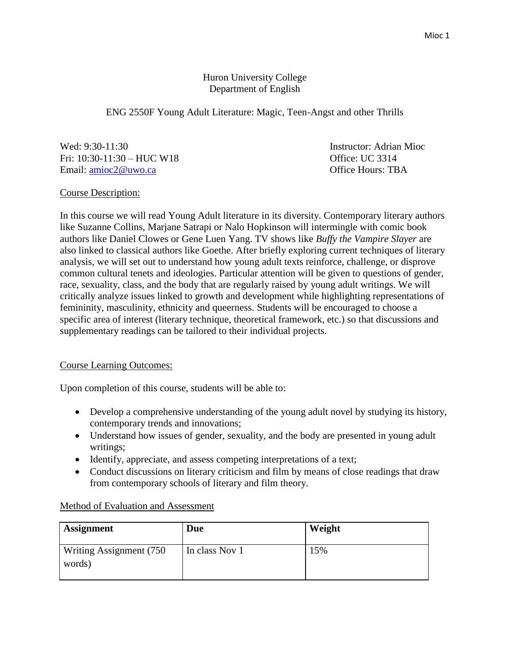# Huron University College Department of English

ENG 2550F Young Adult Literature: Magic, Teen-Angst and other Thrills

Wed: 9:30-11:30 Instructor: Adrian Mioc Fri: 10:30-11:30 – HUC W18 Office: UC 3314 Email: [amioc2@uwo.ca](mailto:amioc2@uwo.ca) Office Hours: TBA

Course Description:

In this course we will read Young Adult literature in its diversity. Contemporary literary authors like Suzanne Collins, Marjane Satrapi or Nalo Hopkinson will intermingle with comic book authors like Daniel Clowes or Gene Luen Yang. TV shows like *Buffy the Vampire Slayer* are also linked to classical authors like Goethe. After briefly exploring current techniques of literary analysis, we will set out to understand how young adult texts reinforce, challenge, or disprove common cultural tenets and ideologies. Particular attention will be given to questions of gender, race, sexuality, class, and the body that are regularly raised by young adult writings. We will critically analyze issues linked to growth and development while highlighting representations of femininity, masculinity, ethnicity and queerness. Students will be encouraged to choose a specific area of interest (literary technique, theoretical framework, etc.) so that discussions and supplementary readings can be tailored to their individual projects.

# Course Learning Outcomes:

Upon completion of this course, students will be able to:

- Develop a comprehensive understanding of the young adult novel by studying its history, contemporary trends and innovations;
- Understand how issues of gender, sexuality, and the body are presented in young adult writings;
- Identify, appreciate, and assess competing interpretations of a text;
- Conduct discussions on literary criticism and film by means of close readings that draw from contemporary schools of literary and film theory.

|  |  |  |  |  | Method of Evaluation and Assessment |
|--|--|--|--|--|-------------------------------------|
|--|--|--|--|--|-------------------------------------|

| <b>Assignment</b>                         | Due            | Weight |
|-------------------------------------------|----------------|--------|
| <b>Writing Assignment (750)</b><br>words) | In class Nov 1 | 15%    |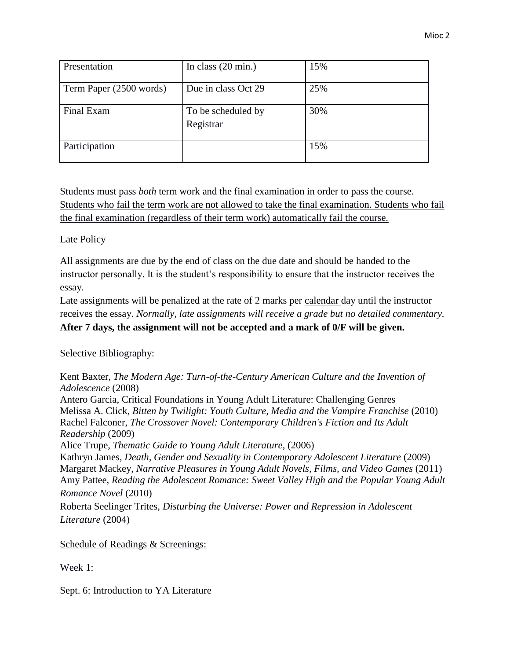| Presentation            | In class $(20 \text{ min.})$    | 15% |
|-------------------------|---------------------------------|-----|
| Term Paper (2500 words) | Due in class Oct 29             | 25% |
| Final Exam              | To be scheduled by<br>Registrar | 30% |
| Participation           |                                 | 15% |

Students must pass *both* term work and the final examination in order to pass the course. Students who fail the term work are not allowed to take the final examination. Students who fail the final examination (regardless of their term work) automatically fail the course.

## Late Policy

All assignments are due by the end of class on the due date and should be handed to the instructor personally. It is the student's responsibility to ensure that the instructor receives the essay.

Late assignments will be penalized at the rate of 2 marks per calendar day until the instructor receives the essay*. Normally, late assignments will receive a grade but no detailed commentary.* 

## **After 7 days, the assignment will not be accepted and a mark of 0/F will be given.**

Selective Bibliography:

Kent Baxter, *The Modern Age: Turn-of-the-Century American Culture and the Invention of Adolescence* (2008) Antero Garcia, Critical Foundations in Young Adult Literature: Challenging Genres Melissa A. Click, *Bitten by Twilight: Youth Culture, Media and the Vampire Franchise* (2010) Rachel Falconer, *The Crossover Novel: Contemporary Children's Fiction and Its Adult Readership* (2009) Alice Trupe, *Thematic Guide to Young Adult Literature*, (2006) Kathryn James, *Death, Gender and Sexuality in Contemporary Adolescent Literature* (2009) Margaret Mackey, *Narrative Pleasures in Young Adult Novels, Films, and Video Games* (2011) Amy Pattee, *Reading the Adolescent Romance: Sweet Valley High and the Popular Young Adult Romance Novel* (2010)

Roberta Seelinger Trites, *Disturbing the Universe: Power and Repression in Adolescent Literature* (2004)

Schedule of Readings & Screenings:

Week 1:

Sept. 6: Introduction to YA Literature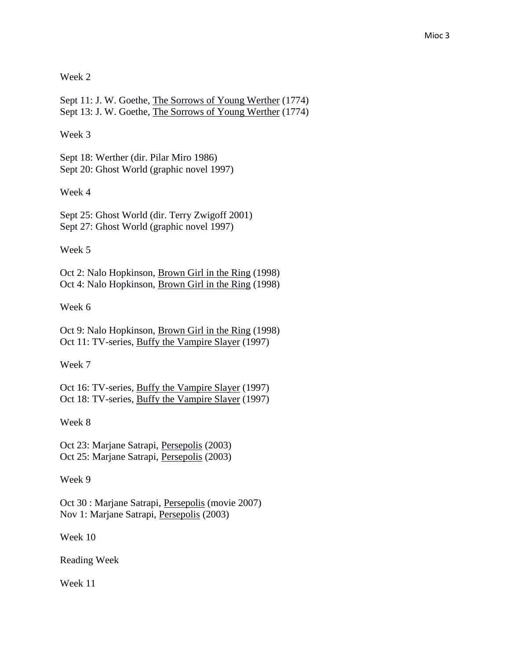Week 2

Sept 11: J. W. Goethe, The Sorrows of Young Werther (1774) Sept 13: J. W. Goethe, The Sorrows of Young Werther (1774)

Week 3

Sept 18: Werther (dir. Pilar Miro 1986) Sept 20: Ghost World (graphic novel 1997)

Week 4

Sept 25: Ghost World (dir. Terry Zwigoff 2001) Sept 27: Ghost World (graphic novel 1997)

Week 5

Oct 2: Nalo Hopkinson, Brown Girl in the Ring (1998) Oct 4: Nalo Hopkinson, Brown Girl in the Ring (1998)

Week 6

Oct 9: Nalo Hopkinson, Brown Girl in the Ring (1998) Oct 11: TV-series, Buffy the Vampire Slayer (1997)

Week 7

Oct 16: TV-series, Buffy the Vampire Slayer (1997) Oct 18: TV-series, Buffy the Vampire Slayer (1997)

Week 8

Oct 23: Marjane Satrapi, Persepolis (2003) Oct 25: Marjane Satrapi, Persepolis (2003)

Week 9

Oct 30 : Marjane Satrapi, Persepolis (movie 2007) Nov 1: Marjane Satrapi, Persepolis (2003)

Week 10

Reading Week

Week 11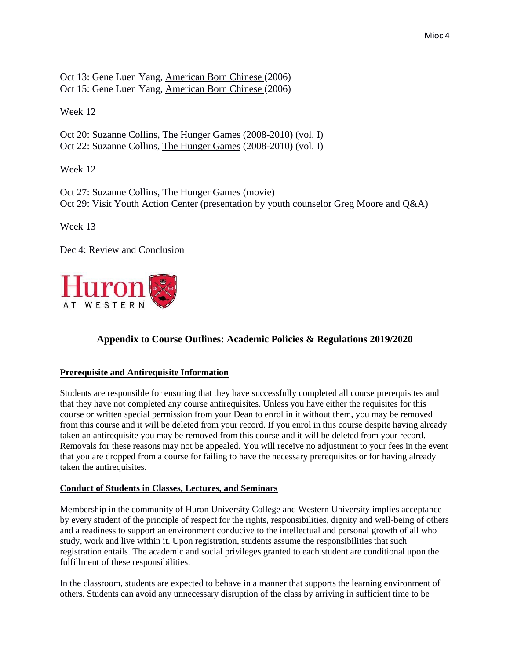Oct 13: Gene Luen Yang, American Born Chinese (2006) Oct 15: Gene Luen Yang, American Born Chinese (2006)

Week 12

Oct 20: Suzanne Collins, The Hunger Games (2008-2010) (vol. I) Oct 22: Suzanne Collins, The Hunger Games (2008-2010) (vol. I)

Week 12

Oct 27: Suzanne Collins, The Hunger Games (movie) Oct 29: Visit Youth Action Center (presentation by youth counselor Greg Moore and Q&A)

Week 13

Dec 4: Review and Conclusion



# **Appendix to Course Outlines: Academic Policies & Regulations 2019/2020**

#### **Prerequisite and Antirequisite Information**

Students are responsible for ensuring that they have successfully completed all course prerequisites and that they have not completed any course antirequisites. Unless you have either the requisites for this course or written special permission from your Dean to enrol in it without them, you may be removed from this course and it will be deleted from your record. If you enrol in this course despite having already taken an antirequisite you may be removed from this course and it will be deleted from your record. Removals for these reasons may not be appealed. You will receive no adjustment to your fees in the event that you are dropped from a course for failing to have the necessary prerequisites or for having already taken the antirequisites.

#### **Conduct of Students in Classes, Lectures, and Seminars**

Membership in the community of Huron University College and Western University implies acceptance by every student of the principle of respect for the rights, responsibilities, dignity and well-being of others and a readiness to support an environment conducive to the intellectual and personal growth of all who study, work and live within it. Upon registration, students assume the responsibilities that such registration entails. The academic and social privileges granted to each student are conditional upon the fulfillment of these responsibilities.

In the classroom, students are expected to behave in a manner that supports the learning environment of others. Students can avoid any unnecessary disruption of the class by arriving in sufficient time to be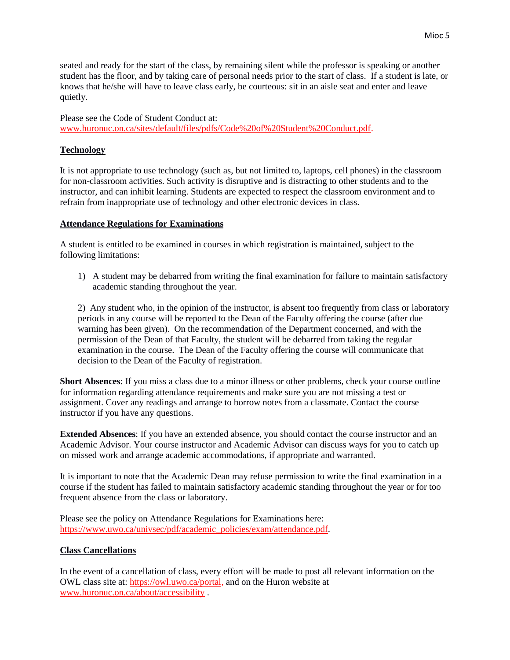seated and ready for the start of the class, by remaining silent while the professor is speaking or another student has the floor, and by taking care of personal needs prior to the start of class. If a student is late, or knows that he/she will have to leave class early, be courteous: sit in an aisle seat and enter and leave quietly.

Please see the Code of Student Conduct at: [www.huronuc.on.ca/sites/default/files/pdfs/Code%20of%20Student%20Conduct.pdf.](http://www.huronuc.on.ca/sites/default/files/pdfs/Code%20of%20Student%20Conduct.pdf)

#### **Technology**

It is not appropriate to use technology (such as, but not limited to, laptops, cell phones) in the classroom for non-classroom activities. Such activity is disruptive and is distracting to other students and to the instructor, and can inhibit learning. Students are expected to respect the classroom environment and to refrain from inappropriate use of technology and other electronic devices in class.

#### **Attendance Regulations for Examinations**

A student is entitled to be examined in courses in which registration is maintained, subject to the following limitations:

1) A student may be debarred from writing the final examination for failure to maintain satisfactory academic standing throughout the year.

2) Any student who, in the opinion of the instructor, is absent too frequently from class or laboratory periods in any course will be reported to the Dean of the Faculty offering the course (after due warning has been given). On the recommendation of the Department concerned, and with the permission of the Dean of that Faculty, the student will be debarred from taking the regular examination in the course. The Dean of the Faculty offering the course will communicate that decision to the Dean of the Faculty of registration.

**Short Absences**: If you miss a class due to a minor illness or other problems, check your course outline for information regarding attendance requirements and make sure you are not missing a test or assignment. Cover any readings and arrange to borrow notes from a classmate. Contact the course instructor if you have any questions.

**Extended Absences**: If you have an extended absence, you should contact the course instructor and an Academic Advisor. Your course instructor and Academic Advisor can discuss ways for you to catch up on missed work and arrange academic accommodations, if appropriate and warranted.

It is important to note that the Academic Dean may refuse permission to write the final examination in a course if the student has failed to maintain satisfactory academic standing throughout the year or for too frequent absence from the class or laboratory.

Please see the policy on Attendance Regulations for Examinations here: [https://www.uwo.ca/univsec/pdf/academic\\_policies/exam/attendance.pdf.](https://www.uwo.ca/univsec/pdf/academic_policies/exam/attendance.pdf)

#### **Class Cancellations**

In the event of a cancellation of class, every effort will be made to post all relevant information on the OWL class site at: [https://owl.uwo.ca/portal,](https://owl.uwo.ca/portal) and on the Huron website at [www.huronuc.on.ca/about/accessibility](http://www.huronuc.on.ca/about/accessibility) .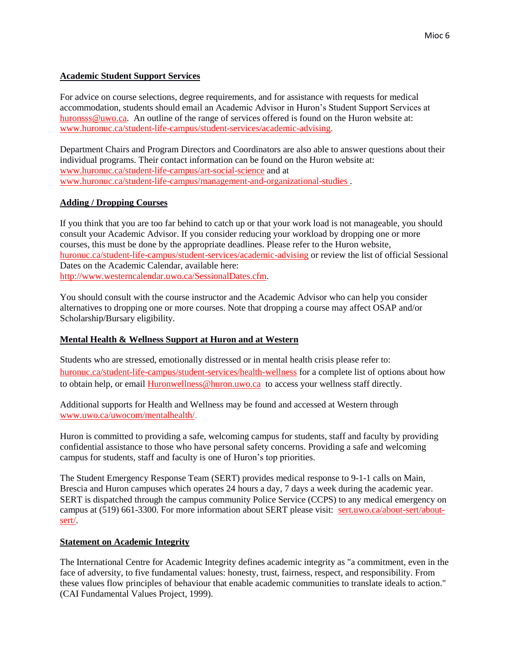#### **Academic Student Support Services**

For advice on course selections, degree requirements, and for assistance with requests for medical accommodation, students should email an Academic Advisor in Huron's Student Support Services at [huronsss@uwo.ca.](mailto:huronsss@uwo.ca) An outline of the range of services offered is found on the Huron website at: [www.huronuc.ca/student-life-campus/student-services/academic-advising.](http://www.huronuc.ca/student-life-campus/student-services/academic-advising)

Department Chairs and Program Directors and Coordinators are also able to answer questions about their individual programs. Their contact information can be found on the Huron website at: [www.huronuc.ca/student-life-campus/art-social-science](http://www.huronuc.ca/student-life-campus/art-social-science) and at [www.huronuc.ca/student-life-campus/management-and-organizational-studies](http://www.huronuc.ca/student-life-campus/management-and-organizational-studies) .

#### **Adding / Dropping Courses**

If you think that you are too far behind to catch up or that your work load is not manageable, you should consult your Academic Advisor. If you consider reducing your workload by dropping one or more courses, this must be done by the appropriate deadlines. Please refer to the Huron website, [huronuc.ca/student-life-campus/student-services/academic-advising](https://huronuc.ca/student-life-campus/student-services/academic-advising) or review the list of official Sessional Dates on the Academic Calendar, available here: [http://www.westerncalendar.uwo.ca/SessionalDates.cfm.](http://www.westerncalendar.uwo.ca/SessionalDates.cfm)

You should consult with the course instructor and the Academic Advisor who can help you consider alternatives to dropping one or more courses. Note that dropping a course may affect OSAP and/or Scholarship/Bursary eligibility.

## **Mental Health & Wellness Support at Huron and at Western**

Students who are stressed, emotionally distressed or in mental health crisis please refer to: [huronuc.ca/student-life-campus/student-services/health-wellness](https://huronuc.ca/student-life-campus/student-services/health-wellness) for a complete list of options about how to obtain help, or email [Huronwellness@huron.uwo.ca](mailto:Huronwellness@huron.uwo.ca) to access your wellness staff directly.

Additional supports for Health and Wellness may be found and accessed at Western through [www.uwo.ca/uwocom/mentalhealth/.](http://www.uwo.ca/uwocom/mentalhealth/)

Huron is committed to providing a safe, welcoming campus for students, staff and faculty by providing confidential assistance to those who have personal safety concerns. Providing a safe and welcoming campus for students, staff and faculty is one of Huron's top priorities.

The Student Emergency Response Team (SERT) provides medical response to 9-1-1 calls on Main, Brescia and Huron campuses which operates 24 hours a day, 7 days a week during the academic year. SERT is dispatched through the campus community Police Service (CCPS) to any medical emergency on campus at (519) 661-3300. For more information about SERT please visit: [sert.uwo.ca/about-sert/about](https://sert.uwo.ca/about-sert/about-sert/)[sert/.](https://sert.uwo.ca/about-sert/about-sert/)

#### **Statement on Academic Integrity**

The International Centre for Academic Integrity defines academic integrity as "a commitment, even in the face of adversity, to five fundamental values: honesty, trust, fairness, respect, and responsibility. From these values flow principles of behaviour that enable academic communities to translate ideals to action." (CAI Fundamental Values Project, 1999).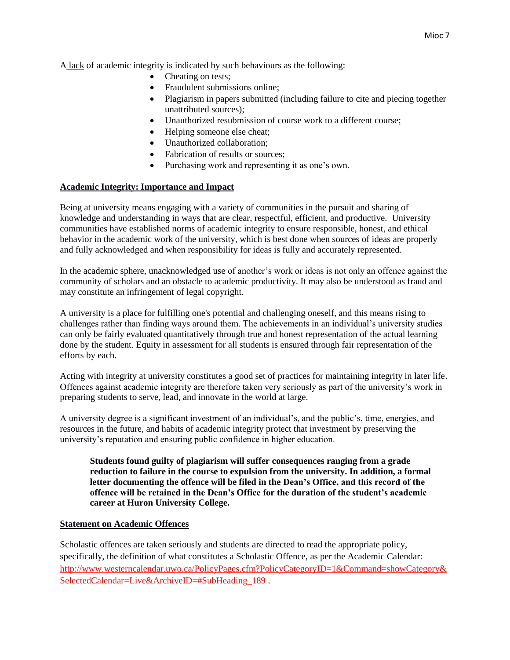A lack of academic integrity is indicated by such behaviours as the following:

- Cheating on tests;
- Fraudulent submissions online;
- Plagiarism in papers submitted (including failure to cite and piecing together unattributed sources);
- Unauthorized resubmission of course work to a different course;
- Helping someone else cheat;
- Unauthorized collaboration;
- Fabrication of results or sources;
- Purchasing work and representing it as one's own.

#### **Academic Integrity: Importance and Impact**

Being at university means engaging with a variety of communities in the pursuit and sharing of knowledge and understanding in ways that are clear, respectful, efficient, and productive. University communities have established norms of academic integrity to ensure responsible, honest, and ethical behavior in the academic work of the university, which is best done when sources of ideas are properly and fully acknowledged and when responsibility for ideas is fully and accurately represented.

In the academic sphere, unacknowledged use of another's work or ideas is not only an offence against the community of scholars and an obstacle to academic productivity. It may also be understood as fraud and may constitute an infringement of legal copyright.

A university is a place for fulfilling one's potential and challenging oneself, and this means rising to challenges rather than finding ways around them. The achievements in an individual's university studies can only be fairly evaluated quantitatively through true and honest representation of the actual learning done by the student. Equity in assessment for all students is ensured through fair representation of the efforts by each.

Acting with integrity at university constitutes a good set of practices for maintaining integrity in later life. Offences against academic integrity are therefore taken very seriously as part of the university's work in preparing students to serve, lead, and innovate in the world at large.

A university degree is a significant investment of an individual's, and the public's, time, energies, and resources in the future, and habits of academic integrity protect that investment by preserving the university's reputation and ensuring public confidence in higher education.

**Students found guilty of plagiarism will suffer consequences ranging from a grade reduction to failure in the course to expulsion from the university. In addition, a formal letter documenting the offence will be filed in the Dean's Office, and this record of the offence will be retained in the Dean's Office for the duration of the student's academic career at Huron University College.**

#### **Statement on Academic Offences**

Scholastic offences are taken seriously and students are directed to read the appropriate policy, specifically, the definition of what constitutes a Scholastic Offence, as per the Academic Calendar: [http://www.westerncalendar.uwo.ca/PolicyPages.cfm?PolicyCategoryID=1&Command=showCategory&](http://www.westerncalendar.uwo.ca/PolicyPages.cfm?PolicyCategoryID=1&Command=showCategory&SelectedCalendar=Live&ArchiveID=#SubHeading_189) [SelectedCalendar=Live&ArchiveID=#SubHeading\\_189](http://www.westerncalendar.uwo.ca/PolicyPages.cfm?PolicyCategoryID=1&Command=showCategory&SelectedCalendar=Live&ArchiveID=#SubHeading_189) .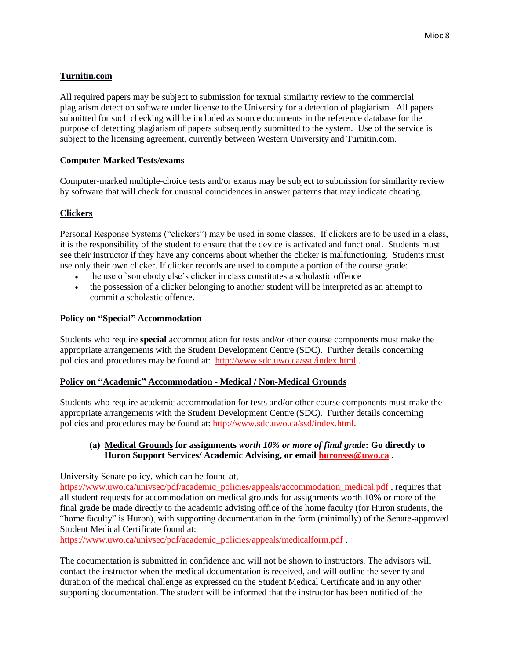## **Turnitin.com**

All required papers may be subject to submission for textual similarity review to the commercial plagiarism detection software under license to the University for a detection of plagiarism. All papers submitted for such checking will be included as source documents in the reference database for the purpose of detecting plagiarism of papers subsequently submitted to the system. Use of the service is subject to the licensing agreement, currently between Western University and Turnitin.com.

## **Computer-Marked Tests/exams**

Computer-marked multiple-choice tests and/or exams may be subject to submission for similarity review by software that will check for unusual coincidences in answer patterns that may indicate cheating.

## **Clickers**

Personal Response Systems ("clickers") may be used in some classes. If clickers are to be used in a class, it is the responsibility of the student to ensure that the device is activated and functional. Students must see their instructor if they have any concerns about whether the clicker is malfunctioning. Students must use only their own clicker. If clicker records are used to compute a portion of the course grade:

- the use of somebody else's clicker in class constitutes a scholastic offence
- the possession of a clicker belonging to another student will be interpreted as an attempt to commit a scholastic offence.

#### **Policy on "Special" Accommodation**

Students who require **special** accommodation for tests and/or other course components must make the appropriate arrangements with the Student Development Centre (SDC). Further details concerning policies and procedures may be found at: <http://www.sdc.uwo.ca/ssd/index.html> .

#### **Policy on "Academic" Accommodation - Medical / Non-Medical Grounds**

Students who require academic accommodation for tests and/or other course components must make the appropriate arrangements with the Student Development Centre (SDC). Further details concerning policies and procedures may be found at: [http://www.sdc.uwo.ca/ssd/index.html.](http://www.sdc.uwo.ca/ssd/index.html)

#### **(a) Medical Grounds for assignments** *worth 10% or more of final grade***: Go directly to Huron Support Services/ Academic Advising, or email [huronsss@uwo.ca](mailto:huronsss@uwo.ca)** .

University Senate policy, which can be found at,

[https://www.uwo.ca/univsec/pdf/academic\\_policies/appeals/accommodation\\_medical.pdf](https://www.uwo.ca/univsec/pdf/academic_policies/appeals/accommodation_medical.pdf),requires that all student requests for accommodation on medical grounds for assignments worth 10% or more of the final grade be made directly to the academic advising office of the home faculty (for Huron students, the "home faculty" is Huron), with supporting documentation in the form (minimally) of the Senate-approved Student Medical Certificate found at:

[https://www.uwo.ca/univsec/pdf/academic\\_policies/appeals/medicalform.pdf](https://www.uwo.ca/univsec/pdf/academic_policies/appeals/medicalform.pdf).

The documentation is submitted in confidence and will not be shown to instructors. The advisors will contact the instructor when the medical documentation is received, and will outline the severity and duration of the medical challenge as expressed on the Student Medical Certificate and in any other supporting documentation. The student will be informed that the instructor has been notified of the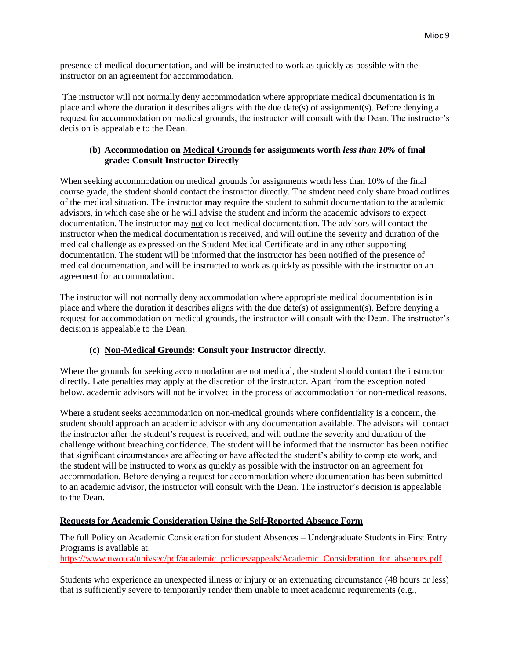presence of medical documentation, and will be instructed to work as quickly as possible with the instructor on an agreement for accommodation.

The instructor will not normally deny accommodation where appropriate medical documentation is in place and where the duration it describes aligns with the due date(s) of assignment(s). Before denying a request for accommodation on medical grounds, the instructor will consult with the Dean. The instructor's decision is appealable to the Dean.

#### **(b) Accommodation on Medical Grounds for assignments worth** *less than 10%* **of final grade: Consult Instructor Directly**

When seeking accommodation on medical grounds for assignments worth less than 10% of the final course grade, the student should contact the instructor directly. The student need only share broad outlines of the medical situation. The instructor **may** require the student to submit documentation to the academic advisors, in which case she or he will advise the student and inform the academic advisors to expect documentation. The instructor may not collect medical documentation. The advisors will contact the instructor when the medical documentation is received, and will outline the severity and duration of the medical challenge as expressed on the Student Medical Certificate and in any other supporting documentation. The student will be informed that the instructor has been notified of the presence of medical documentation, and will be instructed to work as quickly as possible with the instructor on an agreement for accommodation.

The instructor will not normally deny accommodation where appropriate medical documentation is in place and where the duration it describes aligns with the due  $\text{date}(s)$  of assignment(s). Before denying a request for accommodation on medical grounds, the instructor will consult with the Dean. The instructor's decision is appealable to the Dean.

## **(c) Non-Medical Grounds: Consult your Instructor directly.**

Where the grounds for seeking accommodation are not medical, the student should contact the instructor directly. Late penalties may apply at the discretion of the instructor. Apart from the exception noted below, academic advisors will not be involved in the process of accommodation for non-medical reasons.

Where a student seeks accommodation on non-medical grounds where confidentiality is a concern, the student should approach an academic advisor with any documentation available. The advisors will contact the instructor after the student's request is received, and will outline the severity and duration of the challenge without breaching confidence. The student will be informed that the instructor has been notified that significant circumstances are affecting or have affected the student's ability to complete work, and the student will be instructed to work as quickly as possible with the instructor on an agreement for accommodation. Before denying a request for accommodation where documentation has been submitted to an academic advisor, the instructor will consult with the Dean. The instructor's decision is appealable to the Dean.

#### **Requests for Academic Consideration Using the Self-Reported Absence Form**

The full Policy on Academic Consideration for student Absences – Undergraduate Students in First Entry Programs is available at: [https://www.uwo.ca/univsec/pdf/academic\\_policies/appeals/Academic\\_Consideration\\_for\\_absences.pdf](https://www.uwo.ca/univsec/pdf/academic_policies/appeals/Academic_Consideration_for_absences.pdf) .

Students who experience an unexpected illness or injury or an extenuating circumstance (48 hours or less)

that is sufficiently severe to temporarily render them unable to meet academic requirements (e.g.,